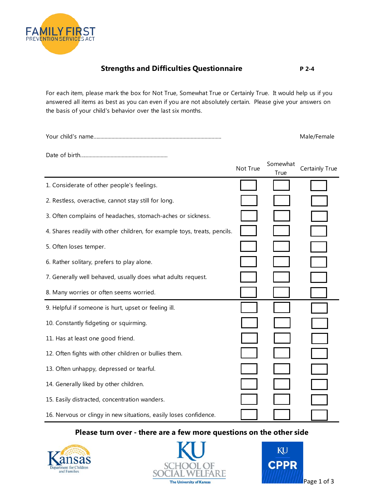

## **Strengths and Difficulties Questionnaire** P 2-4

For each item, please mark the box for Not True, Somewhat True or Certainly True. It would help us if you answered all items as best as you can even if you are not absolutely certain. Please give your answers on the basis of your child's behavior over the last six months.

|          |      | Male/Female             |
|----------|------|-------------------------|
|          |      |                         |
| Not True | True | Somewhat Certainly True |

|                                                                           | <i>I</i> rue |  |
|---------------------------------------------------------------------------|--------------|--|
| 1. Considerate of other people's feelings.                                |              |  |
| 2. Restless, overactive, cannot stay still for long.                      |              |  |
| 3. Often complains of headaches, stomach-aches or sickness.               |              |  |
| 4. Shares readily with other children, for example toys, treats, pencils. |              |  |
| 5. Often loses temper.                                                    |              |  |
| 6. Rather solitary, prefers to play alone.                                |              |  |
| 7. Generally well behaved, usually does what adults request.              |              |  |
| 8. Many worries or often seems worried.                                   |              |  |
|                                                                           |              |  |
| 9. Helpful if someone is hurt, upset or feeling ill.                      |              |  |
| 10. Constantly fidgeting or squirming.                                    |              |  |
| 11. Has at least one good friend.                                         |              |  |
| 12. Often fights with other children or bullies them.                     |              |  |
| 13. Often unhappy, depressed or tearful.                                  |              |  |
| 14. Generally liked by other children.                                    |              |  |
| 15. Easily distracted, concentration wanders.                             |              |  |

## **Please turn over - there are a few more questions on the other side**





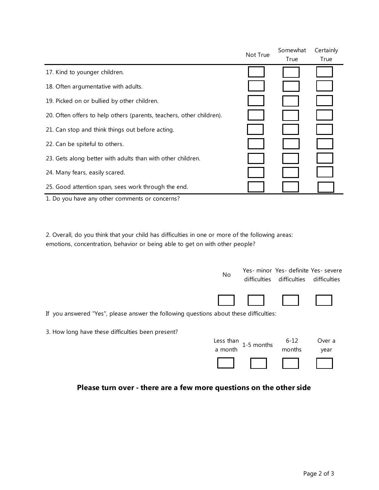|                                                                      | Not True | Somewhat | Certainly |
|----------------------------------------------------------------------|----------|----------|-----------|
|                                                                      |          | True     | True      |
| 17. Kind to younger children.                                        |          |          |           |
| 18. Often argumentative with adults.                                 |          |          |           |
| 19. Picked on or bullied by other children.                          |          |          |           |
| 20. Often offers to help others (parents, teachers, other children). |          |          |           |
| 21. Can stop and think things out before acting.                     |          |          |           |
| 22. Can be spiteful to others.                                       |          |          |           |
| 23. Gets along better with adults than with other children.          |          |          |           |
| 24. Many fears, easily scared.                                       |          |          |           |
| 25. Good attention span, sees work through the end.                  |          |          |           |
|                                                                      |          |          |           |

1. Do you have any other comments or concerns?

2. Overall, do you think that your child has difficulties in one or more of the following areas: emotions, concentration, behavior or being able to get on with other people?

|                                                                                        | No        | difficulties | Yes- minor Yes- definite Yes- severe<br>difficulties | difficulties |  |
|----------------------------------------------------------------------------------------|-----------|--------------|------------------------------------------------------|--------------|--|
|                                                                                        |           |              |                                                      |              |  |
| If you answered "Yes", please answer the following questions about these difficulties: |           |              |                                                      |              |  |
| 3. How long have these difficulties been present?                                      |           |              |                                                      |              |  |
|                                                                                        | Less than | 1-5 months   | $6 - 12$                                             | Over a       |  |
|                                                                                        | a month   |              | months                                               | year         |  |
|                                                                                        |           |              |                                                      |              |  |

## **Please turn over - there are a few more questions on the other side**